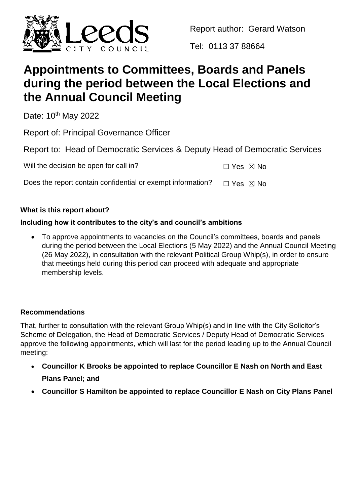

Report author: Gerard Watson

Tel: 0113 37 88664

# **Appointments to Committees, Boards and Panels during the period between the Local Elections and the Annual Council Meeting**

Date: 10<sup>th</sup> May 2022

Report of: Principal Governance Officer

Report to: Head of Democratic Services & Deputy Head of Democratic Services

Will the decision be open for call in?

Does the report contain confidential or exempt information?  $\Box$  Yes  $\boxtimes$  No

# **What is this report about?**

# **Including how it contributes to the city's and council's ambitions**

 To approve appointments to vacancies on the Council's committees, boards and panels during the period between the Local Elections (5 May 2022) and the Annual Council Meeting (26 May 2022), in consultation with the relevant Political Group Whip(s), in order to ensure that meetings held during this period can proceed with adequate and appropriate membership levels.

# **Recommendations**

That, further to consultation with the relevant Group Whip(s) and in line with the City Solicitor's Scheme of Delegation, the Head of Democratic Services / Deputy Head of Democratic Services approve the following appointments, which will last for the period leading up to the Annual Council meeting:

- **Councillor K Brooks be appointed to replace Councillor E Nash on North and East Plans Panel; and**
- **Councillor S Hamilton be appointed to replace Councillor E Nash on City Plans Panel**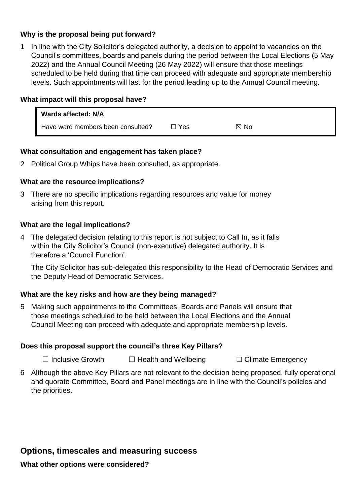# **Why is the proposal being put forward?**

1 In line with the City Solicitor's delegated authority, a decision to appoint to vacancies on the Council's committees, boards and panels during the period between the Local Elections (5 May 2022) and the Annual Council Meeting (26 May 2022) will ensure that those meetings scheduled to be held during that time can proceed with adequate and appropriate membership levels. Such appointments will last for the period leading up to the Annual Council meeting.

## **What impact will this proposal have?**

| Wards affected: N/A               |            |                |
|-----------------------------------|------------|----------------|
| Have ward members been consulted? | $\Box$ Yes | $\boxtimes$ No |

## **What consultation and engagement has taken place?**

2 Political Group Whips have been consulted, as appropriate.

## **What are the resource implications?**

3 There are no specific implications regarding resources and value for money arising from this report.

## **What are the legal implications?**

4 The delegated decision relating to this report is not subject to Call In, as it falls within the City Solicitor's Council (non-executive) delegated authority. It is therefore a 'Council Function'.

The City Solicitor has sub-delegated this responsibility to the Head of Democratic Services and the Deputy Head of Democratic Services.

# **What are the key risks and how are they being managed?**

5 Making such appointments to the Committees, Boards and Panels will ensure that those meetings scheduled to be held between the Local Elections and the Annual Council Meeting can proceed with adequate and appropriate membership levels.

# **Does this proposal support the council's three Key Pillars?**

☐ Inclusive Growth ☐ Health and Wellbeing ☐ Climate Emergency

6 Although the above Key Pillars are not relevant to the decision being proposed, fully operational and quorate Committee, Board and Panel meetings are in line with the Council's policies and the priorities.

# **Options, timescales and measuring success**

#### **What other options were considered?**